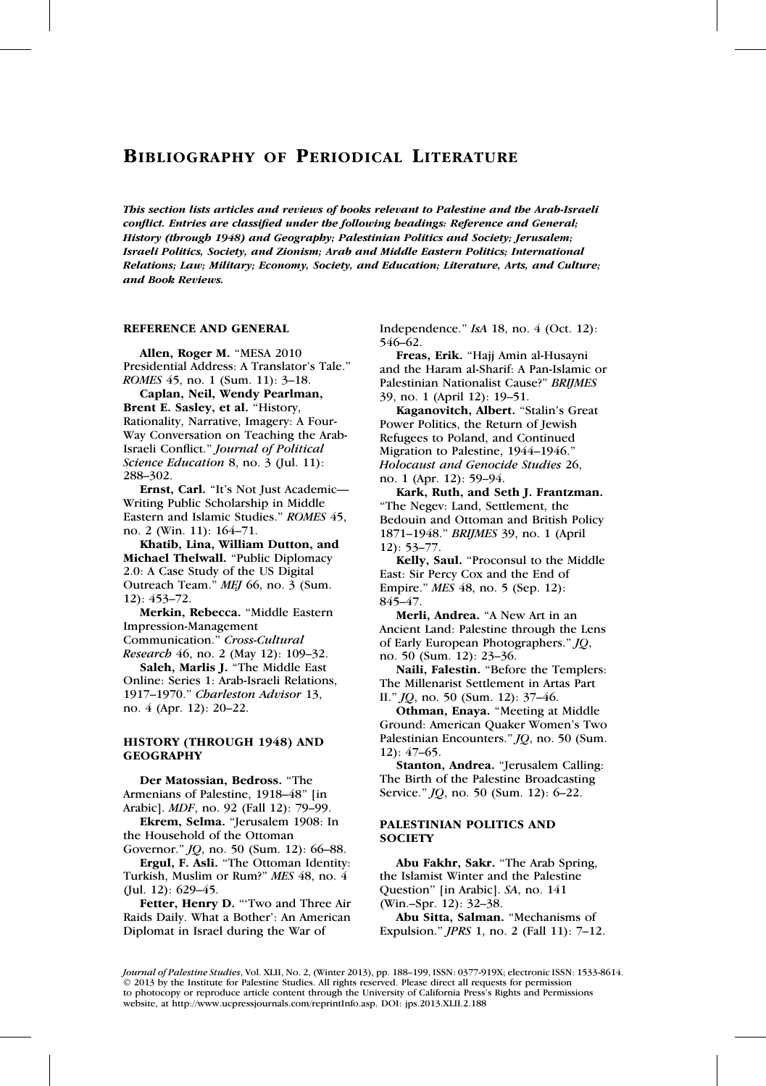This section lists articles and reviews of books relevant to Palestine and the Arab-Israeli conflict. Entries are classified under the following headings: Reference and General; History (through 1948) and Geography; Palestinian Politics and Society; Jerusalem; Israeli Politics, Society, and Zionism; Arab and Middle Eastern Politics; International Relations; Law; Military; Economy, Society, and Education; Literature, Arts, and Culture; and Book Reviews.

### REFERENCE AND GENERAL

Allen, Roger M. ''MESA 2010 Presidential Address: A Translator's Tale.'' ROMES 45, no. 1 (Sum. 11): 3–18.

Caplan, Neil, Wendy Pearlman, Brent E. Sasley, et al. "History, Rationality, Narrative, Imagery: A Four-Way Conversation on Teaching the Arab-Israeli Conflict.'' Journal of Political Science Education 8, no. 3 (Jul. 11): 288–302.

Ernst, Carl. "It's Not Just Academic-Writing Public Scholarship in Middle Eastern and Islamic Studies.'' ROMES 45, no. 2 (Win. 11): 164–71.

Khatib, Lina, William Dutton, and Michael Thelwall. "Public Diplomacy 2.0: A Case Study of the US Digital Outreach Team.'' MEJ 66, no. 3 (Sum. 12): 453–72.

Merkin, Rebecca. ''Middle Eastern Impression-Management Communication.'' Cross-Cultural Research 46, no. 2 (May 12): 109–32.

Saleh, Marlis J. "The Middle East Online: Series 1: Arab-Israeli Relations, 1917–1970.'' Charleston Advisor 13, no. 4 (Apr. 12): 20–22.

# HISTORY (THROUGH 1948) AND **GEOGRAPHY**

Der Matossian, Bedross. ''The Armenians of Palestine, 1918–48'' [in Arabic]. MDF, no. 92 (Fall 12): 79–99.

Ekrem, Selma. ''Jerusalem 1908: In the Household of the Ottoman

Governor." *JQ*, no. 50 (Sum. 12): 66-88. Ergul, F. Asli. ''The Ottoman Identity: Turkish, Muslim or Rum?'' MES 48, no. 4 (Jul. 12): 629–45.

Fetter, Henry D. "'Two and Three Air Raids Daily. What a Bother': An American Diplomat in Israel during the War of

Independence.'' IsA 18, no. 4 (Oct. 12): 546–62.

Freas, Erik. ''Hajj Amin al-Husayni and the Haram al-Sharif: A Pan-Islamic or Palestinian Nationalist Cause?'' BRIJMES 39, no. 1 (April 12): 19–51.

Kaganovitch, Albert. ''Stalin's Great Power Politics, the Return of Jewish Refugees to Poland, and Continued Migration to Palestine, 1944–1946.'' Holocaust and Genocide Studies 26, no. 1 (Apr. 12): 59–94.

Kark, Ruth, and Seth J. Frantzman. ''The Negev: Land, Settlement, the Bedouin and Ottoman and British Policy 1871–1948.'' BRIJMES 39, no. 1 (April 12): 53–77.

Kelly, Saul. "Proconsul to the Middle East: Sir Percy Cox and the End of Empire.'' MES 48, no. 5 (Sep. 12): 845–47.

Merli, Andrea. ''A New Art in an Ancient Land: Palestine through the Lens of Early European Photographers.'' JQ, no. 50 (Sum. 12): 23–36.

Naili, Falestin. ''Before the Templers: The Millenarist Settlement in Artas Part II.'' JQ, no. 50 (Sum. 12): 37–46.

Othman, Enaya. ''Meeting at Middle Ground: American Quaker Women's Two Palestinian Encounters." JQ, no. 50 (Sum. 12): 47–65.

Stanton, Andrea. "Jerusalem Calling: The Birth of the Palestine Broadcasting Service." *JQ*, no. 50 (Sum. 12): 6-22.

# PALESTINIAN POLITICS AND **SOCIETY**

Abu Fakhr, Sakr. "The Arab Spring, the Islamist Winter and the Palestine Question'' [in Arabic]. SA, no. 141 (Win.–Spr. 12): 32–38.

Abu Sitta, Salman. ''Mechanisms of Expulsion.'' JPRS 1, no. 2 (Fall 11): 7–12.

Journal of Palestine Studies, Vol. XLII, No. 2, (Winter 2013), pp. 188–199, ISSN: 0377-919X; electronic ISSN: 1533-8614. © 2013 by the Institute for Palestine Studies. All rights reserved. Please direct all requests for permission to photocopy or reproduce article content through the University of California Press's Rights and Permissions website, at http://www.ucpressjournals.com/reprintInfo.asp. DOI: jps.2013.XLII.2.188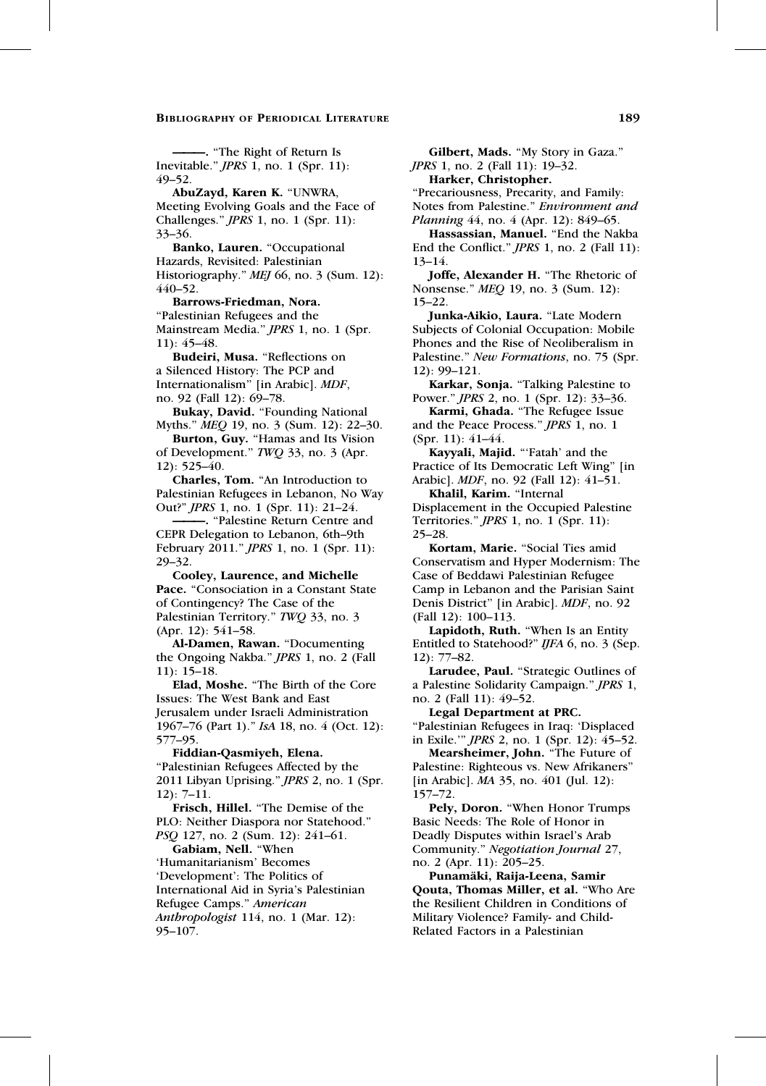———. ''The Right of Return Is Inevitable.'' JPRS 1, no. 1 (Spr. 11): 49–52.

AbuZayd, Karen K. ''UNWRA, Meeting Evolving Goals and the Face of Challenges.'' JPRS 1, no. 1 (Spr. 11): 33–36.

Banko, Lauren. "Occupational Hazards, Revisited: Palestinian Historiography." *MEJ* 66, no. 3 (Sum. 12): 440–52.

Barrows-Friedman, Nora. ''Palestinian Refugees and the Mainstream Media.'' JPRS 1, no. 1 (Spr.

11): 45–48.

Budeiri, Musa. ''Reflections on a Silenced History: The PCP and Internationalism'' [in Arabic]. MDF, no. 92 (Fall 12): 69–78.

Bukay, David. "Founding National Myths.'' MEQ 19, no. 3 (Sum. 12): 22–30.

Burton, Guy. "Hamas and Its Vision of Development.'' TWQ 33, no. 3 (Apr. 12): 525–40.

Charles, Tom. ''An Introduction to Palestinian Refugees in Lebanon, No Way Out?'' JPRS 1, no. 1 (Spr. 11): 21–24.

———. ''Palestine Return Centre and CEPR Delegation to Lebanon, 6th–9th February 2011.'' JPRS 1, no. 1 (Spr. 11): 29–32.

Cooley, Laurence, and Michelle Pace. "Consociation in a Constant State of Contingency? The Case of the Palestinian Territory.'' TWQ 33, no. 3 (Apr. 12): 541–58.

Al-Damen, Rawan. ''Documenting the Ongoing Nakba.'' JPRS 1, no. 2 (Fall 11): 15–18.

Elad, Moshe. ''The Birth of the Core Issues: The West Bank and East Jerusalem under Israeli Administration 1967–76 (Part 1).'' IsA 18, no. 4 (Oct. 12): 577–95.

Fiddian-Qasmiyeh, Elena. ''Palestinian Refugees Affected by the 2011 Libyan Uprising.'' JPRS 2, no. 1 (Spr. 12): 7–11.

Frisch, Hillel. ''The Demise of the PLO: Neither Diaspora nor Statehood.'' PSQ 127, no. 2 (Sum. 12): 241–61.

Gabiam, Nell. ''When 'Humanitarianism' Becomes

'Development': The Politics of International Aid in Syria's Palestinian

Refugee Camps.'' American

Anthropologist 114, no. 1 (Mar. 12): 95–107.

Gilbert, Mads. ''My Story in Gaza.'' JPRS 1, no. 2 (Fall 11): 19–32.

Harker, Christopher.

''Precariousness, Precarity, and Family: Notes from Palestine.'' Environment and Planning 44, no. 4 (Apr. 12): 849–65.

Hassassian, Manuel. "End the Nakba End the Conflict.'' JPRS 1, no. 2 (Fall 11): 13–14.

Joffe, Alexander H. ''The Rhetoric of Nonsense.'' MEQ 19, no. 3 (Sum. 12): 15–22.

Junka-Aikio, Laura. ''Late Modern Subjects of Colonial Occupation: Mobile Phones and the Rise of Neoliberalism in Palestine." New Formations, no. 75 (Spr. 12): 99–121.

Karkar, Sonja. "Talking Palestine to Power.'' JPRS 2, no. 1 (Spr. 12): 33–36.

Karmi, Ghada. "The Refugee Issue and the Peace Process.'' JPRS 1, no. 1 (Spr. 11): 41–44.

Kayyali, Majid. "'Fatah' and the Practice of Its Democratic Left Wing'' [in Arabic]. MDF, no. 92 (Fall 12): 41–51.

Khalil, Karim. "Internal Displacement in the Occupied Palestine Territories.'' JPRS 1, no. 1 (Spr. 11): 25–28.

Kortam, Marie. "Social Ties amid Conservatism and Hyper Modernism: The Case of Beddawi Palestinian Refugee Camp in Lebanon and the Parisian Saint Denis District'' [in Arabic]. MDF, no. 92 (Fall 12): 100–113.

Lapidoth, Ruth. ''When Is an Entity Entitled to Statehood?" IJFA 6, no. 3 (Sep. 12): 77–82.

Larudee, Paul. ''Strategic Outlines of a Palestine Solidarity Campaign.'' JPRS 1, no. 2 (Fall 11): 49–52.

Legal Department at PRC. ''Palestinian Refugees in Iraq: 'Displaced in Exile.''' JPRS 2, no. 1 (Spr. 12): 45–52.

Mearsheimer, John. "The Future of Palestine: Righteous vs. New Afrikaners'' [in Arabic]. MA 35, no. 401 (Jul. 12): 157–72.

Pely, Doron. "When Honor Trumps Basic Needs: The Role of Honor in Deadly Disputes within Israel's Arab Community.'' Negotiation Journal 27, no. 2 (Apr. 11): 205–25.

Punamäki, Raija-Leena, Samir Qouta, Thomas Miller, et al. ''Who Are the Resilient Children in Conditions of Military Violence? Family- and Child-Related Factors in a Palestinian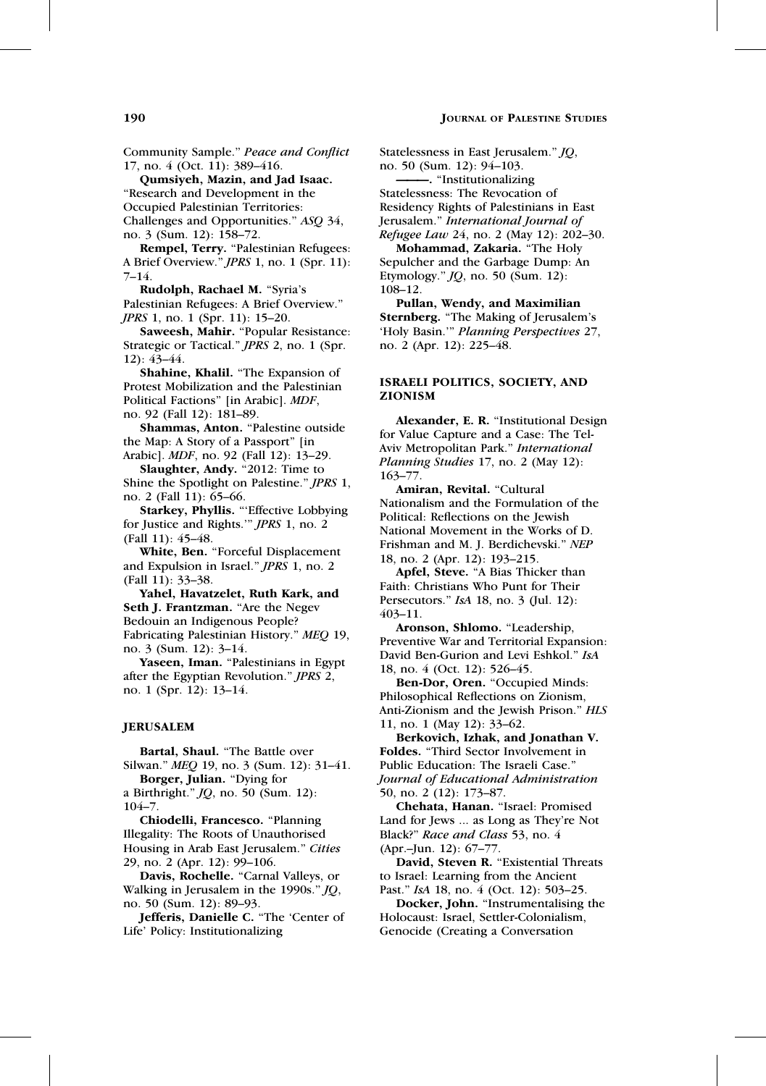# **190 JOURNAL OF PALESTINE STUDIES**

Community Sample.'' Peace and Conflict 17, no. 4 (Oct. 11): 389–416.

Qumsiyeh, Mazin, and Jad Isaac. ''Research and Development in the Occupied Palestinian Territories: Challenges and Opportunities.'' ASQ 34, no. 3 (Sum. 12): 158–72.

Rempel, Terry. "Palestinian Refugees: A Brief Overview.'' JPRS 1, no. 1 (Spr. 11): 7–14.

Rudolph, Rachael M. ''Syria's Palestinian Refugees: A Brief Overview.'' JPRS 1, no. 1 (Spr. 11): 15–20.

Saweesh, Mahir. ''Popular Resistance: Strategic or Tactical.'' JPRS 2, no. 1 (Spr. 12): 43–44.

Shahine, Khalil. "The Expansion of Protest Mobilization and the Palestinian Political Factions'' [in Arabic]. MDF, no. 92 (Fall 12): 181–89.

Shammas, Anton. "Palestine outside the Map: A Story of a Passport'' [in Arabic]. MDF, no. 92 (Fall 12): 13–29.

Slaughter, Andy. "2012: Time to Shine the Spotlight on Palestine." JPRS 1, no. 2 (Fall 11): 65–66.

Starkey, Phyllis. "'Effective Lobbying for Justice and Rights.''' JPRS 1, no. 2 (Fall 11): 45–48.

White, Ben. "Forceful Displacement and Expulsion in Israel.'' JPRS 1, no. 2 (Fall 11): 33–38.

Yahel, Havatzelet, Ruth Kark, and Seth J. Frantzman. "Are the Negev Bedouin an Indigenous People? Fabricating Palestinian History.'' MEQ 19, no. 3 (Sum. 12): 3–14.

Yaseen, Iman. "Palestinians in Egypt after the Egyptian Revolution.'' JPRS 2, no. 1 (Spr. 12): 13–14.

# JERUSALEM

Bartal, Shaul. "The Battle over Silwan.'' MEQ 19, no. 3 (Sum. 12): 31–41.

Borger, Julian. ''Dying for a Birthright.'' JQ, no. 50 (Sum. 12):

104–7. Chiodelli, Francesco. ''Planning

Illegality: The Roots of Unauthorised Housing in Arab East Jerusalem.'' Cities 29, no. 2 (Apr. 12): 99–106.

Davis, Rochelle. "Carnal Valleys, or Walking in Jerusalem in the 1990s.'' JQ, no. 50 (Sum. 12): 89–93.

Jefferis, Danielle C. "The 'Center of Life' Policy: Institutionalizing

Statelessness in East Jerusalem.'' JQ, no. 50 (Sum. 12): 94–103. ———. ''Institutionalizing Statelessness: The Revocation of Residency Rights of Palestinians in East Jerusalem.'' International Journal of Refugee Law 24, no. 2 (May 12): 202–30.

Mohammad, Zakaria. "The Holy Sepulcher and the Garbage Dump: An Etymology.'' JQ, no. 50 (Sum. 12): 108–12.

Pullan, Wendy, and Maximilian Sternberg. "The Making of Jerusalem's 'Holy Basin.''' Planning Perspectives 27, no. 2 (Apr. 12): 225–48.

#### ISRAELI POLITICS, SOCIETY, AND ZIONISM

Alexander, E. R. ''Institutional Design for Value Capture and a Case: The Tel-Aviv Metropolitan Park.'' International Planning Studies 17, no. 2 (May 12): 163–77.

Amiran, Revital. "Cultural Nationalism and the Formulation of the Political: Reflections on the Jewish National Movement in the Works of D. Frishman and M. J. Berdichevski.'' NEP 18, no. 2 (Apr. 12): 193–215.

Apfel, Steve. "A Bias Thicker than Faith: Christians Who Punt for Their Persecutors.'' IsA 18, no. 3 (Jul. 12): 403–11.

Aronson, Shlomo. ''Leadership, Preventive War and Territorial Expansion: David Ben-Gurion and Levi Eshkol.'' IsA 18, no. 4 (Oct. 12): 526–45.

Ben-Dor, Oren. "Occupied Minds: Philosophical Reflections on Zionism, Anti-Zionism and the Jewish Prison.'' HLS 11, no. 1 (May 12): 33–62.

Berkovich, Izhak, and Jonathan V. Foldes. ''Third Sector Involvement in Public Education: The Israeli Case.'' Journal of Educational Administration 50, no. 2 (12): 173–87.

Chehata, Hanan. ''Israel: Promised Land for Jews ... as Long as They're Not Black?" Race and Class 53, no. 4 (Apr.–Jun. 12): 67–77.

David, Steven R. "Existential Threats to Israel: Learning from the Ancient Past." IsA 18, no. 4 (Oct. 12): 503-25.

Docker, John. "Instrumentalising the Holocaust: Israel, Settler-Colonialism, Genocide (Creating a Conversation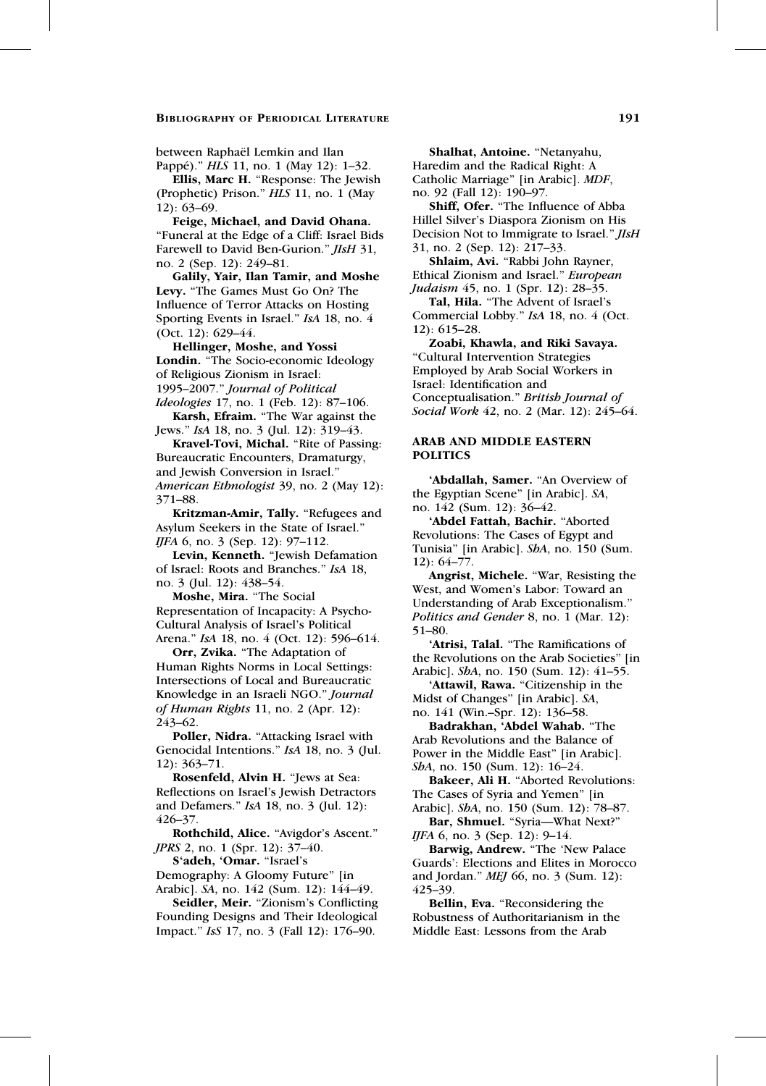between Raphaël Lemkin and Ilan

Pappé)."  $HLS$  11, no. 1 (May 12): 1–32. Ellis, Marc H. ''Response: The Jewish (Prophetic) Prison.'' HLS 11, no. 1 (May 12): 63–69.

Feige, Michael, and David Ohana. ''Funeral at the Edge of a Cliff: Israel Bids Farewell to David Ben-Gurion." *JIsH* 31, no. 2 (Sep. 12): 249–81.

Galily, Yair, Ilan Tamir, and Moshe Levy. ''The Games Must Go On? The Influence of Terror Attacks on Hosting Sporting Events in Israel." IsA 18, no. 4 (Oct. 12): 629–44.

Hellinger, Moshe, and Yossi Londin. ''The Socio-economic Ideology of Religious Zionism in Israel: 1995–2007.'' Journal of Political Ideologies 17, no. 1 (Feb. 12): 87–106.

Karsh, Efraim. "The War against the Jews.'' IsA 18, no. 3 (Jul. 12): 319–43.

Kravel-Tovi, Michal. "Rite of Passing: Bureaucratic Encounters, Dramaturgy, and Jewish Conversion in Israel.'' American Ethnologist 39, no. 2 (May 12): 371–88.

Kritzman-Amir, Tally. ''Refugees and Asylum Seekers in the State of Israel.'' IJFA 6, no. 3 (Sep. 12): 97–112.

Levin, Kenneth. ''Jewish Defamation of Israel: Roots and Branches.'' IsA 18, no. 3 (Jul. 12): 438–54.

Moshe, Mira. ''The Social Representation of Incapacity: A Psycho-Cultural Analysis of Israel's Political Arena.'' IsA 18, no. 4 (Oct. 12): 596–614.

Orr, Zvika. "The Adaptation of Human Rights Norms in Local Settings: Intersections of Local and Bureaucratic Knowledge in an Israeli NGO.'' Journal of Human Rights 11, no. 2 (Apr. 12): 243–62.

Poller, Nidra. "Attacking Israel with Genocidal Intentions." IsA 18, no. 3 (Jul. 12): 363–71.

Rosenfeld, Alvin H. ''Jews at Sea: Reflections on Israel's Jewish Detractors and Defamers.'' IsA 18, no. 3 (Jul. 12): 426–37.

Rothchild, Alice. "Avigdor's Ascent." JPRS 2, no. 1 (Spr. 12): 37–40.

S'adeh, 'Omar. "Israel's

Demography: A Gloomy Future'' [in Arabic]. SA, no. 142 (Sum. 12): 144–49.

Seidler, Meir. "Zionism's Conflicting Founding Designs and Their Ideological Impact.'' IsS 17, no. 3 (Fall 12): 176–90.

Shalhat, Antoine. "Netanyahu, Haredim and the Radical Right: A Catholic Marriage'' [in Arabic]. MDF, no. 92 (Fall 12): 190–97.

Shiff, Ofer. "The Influence of Abba Hillel Silver's Diaspora Zionism on His Decision Not to Immigrate to Israel.'' JIsH 31, no. 2 (Sep. 12): 217–33.

Shlaim, Avi. "Rabbi John Rayner, Ethical Zionism and Israel.'' European Judaism 45, no. 1 (Spr. 12): 28-35.

Tal, Hila. ''The Advent of Israel's Commercial Lobby.'' IsA 18, no. 4 (Oct. 12): 615–28.

Zoabi, Khawla, and Riki Savaya. ''Cultural Intervention Strategies Employed by Arab Social Workers in Israel: Identification and Conceptualisation.'' British Journal of Social Work 42, no. 2 (Mar. 12): 245–64.

# ARAB AND MIDDLE EASTERN POLITICS

'Abdallah, Samer. "An Overview of the Egyptian Scene'' [in Arabic]. SA, no. 142 (Sum. 12): 36–42.

'Abdel Fattah, Bachir. ''Aborted Revolutions: The Cases of Egypt and Tunisia'' [in Arabic]. ShA, no. 150 (Sum. 12): 64–77.

Angrist, Michele. ''War, Resisting the West, and Women's Labor: Toward an Understanding of Arab Exceptionalism.'' Politics and Gender 8, no. 1 (Mar. 12): 51–80.

Atrisi, Talal. "The Ramifications of the Revolutions on the Arab Societies'' [in Arabic]. ShA, no. 150 (Sum. 12): 41–55.

'Attawil, Rawa. "Citizenship in the Midst of Changes'' [in Arabic]. SA, no. 141 (Win.–Spr. 12): 136–58.

Badrakhan, 'Abdel Wahab. ''The Arab Revolutions and the Balance of Power in the Middle East" [in Arabic]. ShA, no. 150 (Sum. 12): 16-24.

Bakeer, Ali H. ''Aborted Revolutions: The Cases of Syria and Yemen'' [in Arabic]. ShA, no. 150 (Sum. 12): 78–87.

Bar, Shmuel. "Syria--What Next?" IJFA 6, no. 3 (Sep. 12): 9–14.

Barwig, Andrew. "The 'New Palace Guards': Elections and Elites in Morocco and Jordan.'' MEJ 66, no. 3 (Sum. 12): 425–39.

Bellin, Eva. ''Reconsidering the Robustness of Authoritarianism in the Middle East: Lessons from the Arab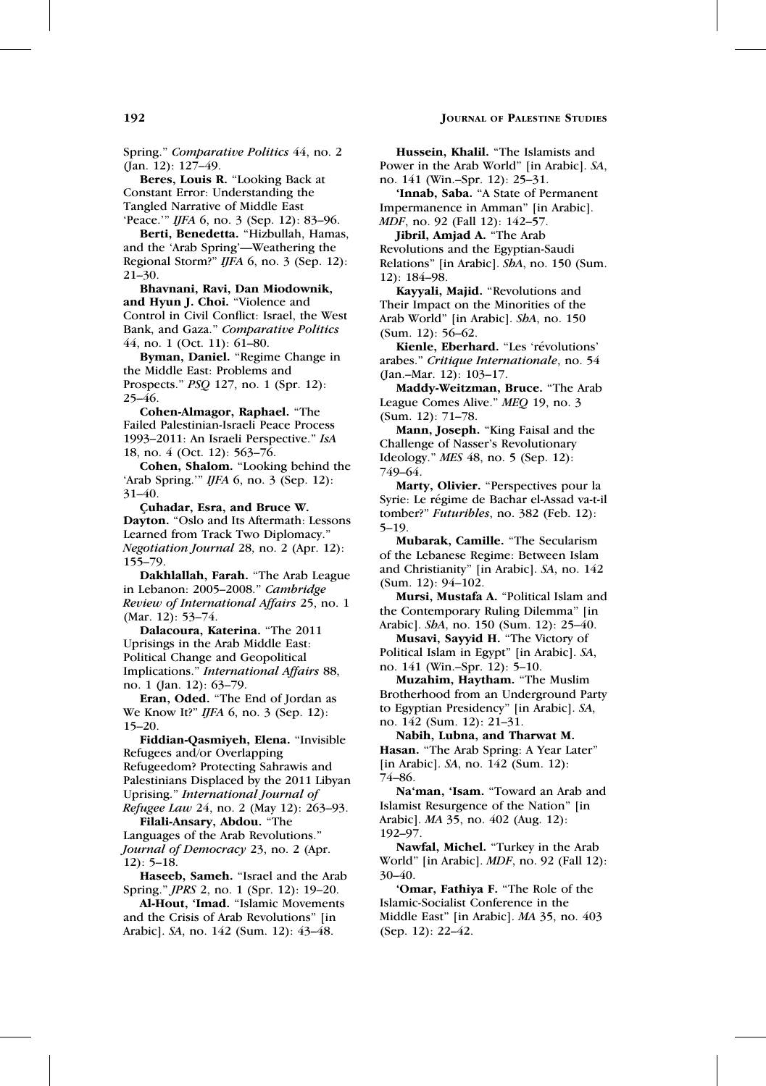Spring.'' Comparative Politics 44, no. 2 (Jan. 12): 127–49.

Beres, Louis R. ''Looking Back at Constant Error: Understanding the Tangled Narrative of Middle East 'Peace.''' IJFA 6, no. 3 (Sep. 12): 83–96.

Berti, Benedetta. "Hizbullah, Hamas, and the 'Arab Spring'—Weathering the Regional Storm?" IJFA 6, no. 3 (Sep. 12): 21–30.

Bhavnani, Ravi, Dan Miodownik, and Hyun J. Choi. ''Violence and Control in Civil Conflict: Israel, the West Bank, and Gaza.'' Comparative Politics 44, no. 1 (Oct. 11): 61–80.

Byman, Daniel. ''Regime Change in the Middle East: Problems and Prospects.'' PSQ 127, no. 1 (Spr. 12): 25–46.

Cohen-Almagor, Raphael. ''The Failed Palestinian-Israeli Peace Process 1993–2011: An Israeli Perspective.'' IsA 18, no. 4 (Oct. 12): 563–76.

Cohen, Shalom. ''Looking behind the 'Arab Spring.''' IJFA 6, no. 3 (Sep. 12): 31–40.

Çuhadar, Esra, and Bruce W. Dayton. "Oslo and Its Aftermath: Lessons Learned from Track Two Diplomacy.'' Negotiation Journal 28, no. 2 (Apr. 12): 155–79.

Dakhlallah, Farah. ''The Arab League in Lebanon: 2005–2008.'' Cambridge Review of International Affairs 25, no. 1 (Mar. 12): 53–74.

Dalacoura, Katerina. "The 2011 Uprisings in the Arab Middle East: Political Change and Geopolitical Implications.'' International Affairs 88, no. 1 (Jan. 12): 63–79.

Eran, Oded. ''The End of Jordan as We Know It?" *IJFA* 6, no. 3 (Sep. 12): 15–20.

Fiddian-Qasmiyeh, Elena. ''Invisible Refugees and/or Overlapping Refugeedom? Protecting Sahrawis and Palestinians Displaced by the 2011 Libyan Uprising.'' International Journal of Refugee Law 24, no. 2 (May 12): 263–93.

Filali-Ansary, Abdou. ''The Languages of the Arab Revolutions.'' Journal of Democracy 23, no. 2 (Apr. 12): 5–18.

Haseeb, Sameh. ''Israel and the Arab Spring.'' JPRS 2, no. 1 (Spr. 12): 19–20.

Al-Hout, 'Imad. ''Islamic Movements and the Crisis of Arab Revolutions'' [in Arabic]. SA, no. 142 (Sum. 12): 43–48.

Hussein, Khalil. "The Islamists and Power in the Arab World'' [in Arabic]. SA, no. 141 (Win.–Spr. 12): 25–31.

'Innab, Saba. ''A State of Permanent Impermanence in Amman'' [in Arabic]. MDF, no. 92 (Fall 12): 142–57.

Jibril, Amjad A. ''The Arab Revolutions and the Egyptian-Saudi Relations" [in Arabic]. ShA, no. 150 (Sum. 12): 184–98.

Kayyali, Majid. "Revolutions and Their Impact on the Minorities of the Arab World'' [in Arabic]. ShA, no. 150 (Sum. 12): 56–62.

Kienle, Eberhard. "Les 'révolutions' arabes.'' Critique Internationale, no. 54 (Jan.–Mar. 12): 103–17.

Maddy-Weitzman, Bruce. ''The Arab League Comes Alive.'' MEQ 19, no. 3 (Sum. 12): 71–78.

Mann, Joseph. ''King Faisal and the Challenge of Nasser's Revolutionary Ideology.'' MES 48, no. 5 (Sep. 12): 749–64.

Marty, Olivier. "Perspectives pour la Syrie: Le régime de Bachar el-Assad va-t-il tomber?" Futuribles, no. 382 (Feb. 12): 5–19.

Mubarak, Camille. ''The Secularism of the Lebanese Regime: Between Islam and Christianity'' [in Arabic]. SA, no. 142 (Sum. 12): 94–102.

Mursi, Mustafa A. ''Political Islam and the Contemporary Ruling Dilemma'' [in Arabic]. ShA, no. 150 (Sum. 12): 25–40.

Musavi, Sayyid H. ''The Victory of Political Islam in Egypt'' [in Arabic]. SA, no. 141 (Win.–Spr. 12): 5–10.

Muzahim, Haytham. ''The Muslim Brotherhood from an Underground Party to Egyptian Presidency'' [in Arabic]. SA, no. 142 (Sum. 12): 21–31.

Nabih, Lubna, and Tharwat M. Hasan. "The Arab Spring: A Year Later" [in Arabic]. *SA*, no. 142 (Sum. 12): 74–86.

Na'man, 'Isam. ''Toward an Arab and Islamist Resurgence of the Nation'' [in Arabic]. MA 35, no. 402 (Aug. 12): 192–97.

Nawfal, Michel. "Turkey in the Arab World'' [in Arabic]. MDF, no. 92 (Fall 12): 30–40.

'Omar, Fathiya F. "The Role of the Islamic-Socialist Conference in the Middle East'' [in Arabic]. MA 35, no. 403 (Sep. 12): 22–42.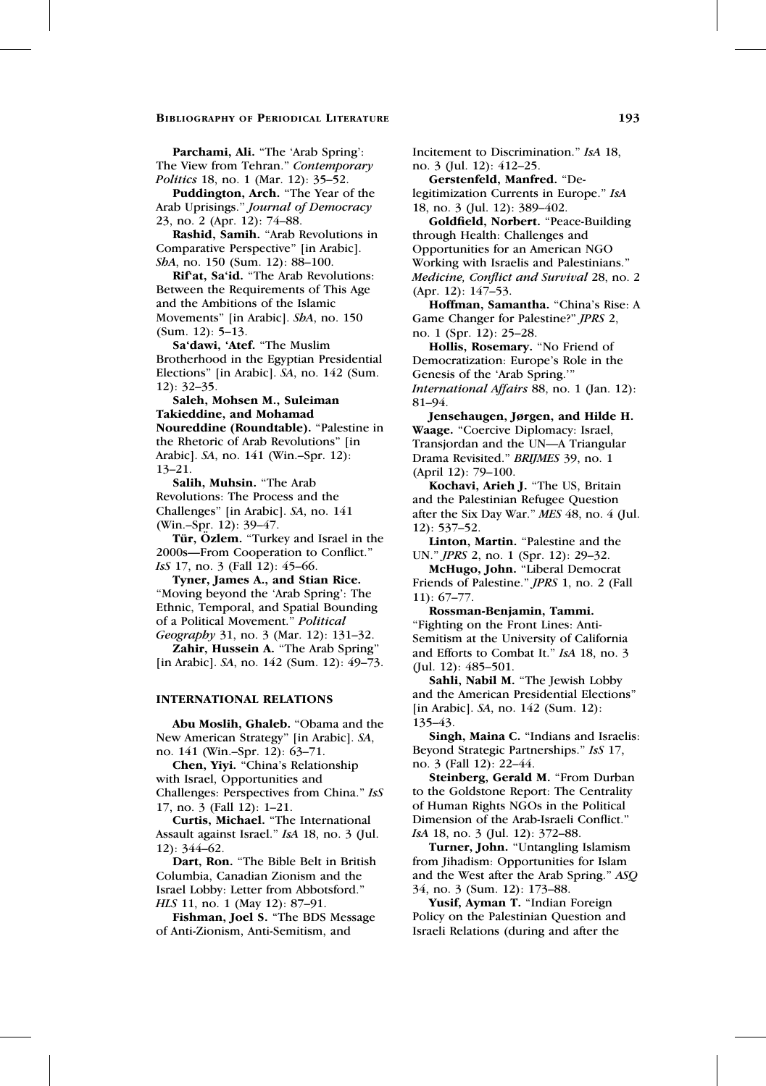Parchami, Ali. "The 'Arab Spring': The View from Tehran." Contemporary Politics 18, no. 1 (Mar. 12): 35–52.

Puddington, Arch. ''The Year of the Arab Uprisings.'' Journal of Democracy 23, no. 2 (Apr. 12): 74–88.

Rashid, Samih. ''Arab Revolutions in Comparative Perspective'' [in Arabic]. SbA, no. 150 (Sum. 12): 88-100.

Rif'at, Sa'id. ''The Arab Revolutions: Between the Requirements of This Age and the Ambitions of the Islamic Movements'' [in Arabic]. ShA, no. 150 (Sum. 12): 5–13.

Sa'dawi, 'Atef. ''The Muslim Brotherhood in the Egyptian Presidential Elections'' [in Arabic]. SA, no. 142 (Sum. 12): 32–35.

Saleh, Mohsen M., Suleiman Takieddine, and Mohamad Noureddine (Roundtable). "Palestine in the Rhetoric of Arab Revolutions'' [in Arabic]. SA, no. 141 (Win.–Spr. 12): 13–21.

Salih, Muhsin. ''The Arab Revolutions: The Process and the Challenges'' [in Arabic]. SA, no. 141 (Win.–Spr. 12): 39–47.

Tür, Özlem. "Turkey and Israel in the 2000s—From Cooperation to Conflict.'' IsS 17, no. 3 (Fall 12): 45–66.

Tyner, James A., and Stian Rice. ''Moving beyond the 'Arab Spring': The Ethnic, Temporal, and Spatial Bounding of a Political Movement.'' Political Geography 31, no. 3 (Mar. 12): 131–32.

Zahir, Hussein A. "The Arab Spring" [in Arabic]. SA, no. 142 (Sum. 12): 49–73.

# INTERNATIONAL RELATIONS

Abu Moslih, Ghaleb. ''Obama and the New American Strategy'' [in Arabic]. SA, no. 141 (Win.–Spr. 12): 63–71.

Chen, Yiyi. ''China's Relationship with Israel, Opportunities and Challenges: Perspectives from China.'' IsS 17, no. 3 (Fall 12): 1–21.

Curtis, Michael. ''The International Assault against Israel.'' IsA 18, no. 3 (Jul. 12): 344–62.

Dart, Ron. "The Bible Belt in British Columbia, Canadian Zionism and the Israel Lobby: Letter from Abbotsford.'' HLS 11, no. 1 (May 12): 87–91.

Fishman, Joel S. "The BDS Message of Anti-Zionism, Anti-Semitism, and

Incitement to Discrimination.'' IsA 18, no. 3 (Jul. 12): 412–25.

Gerstenfeld, Manfred. ''Delegitimization Currents in Europe.'' IsA 18, no. 3 (Jul. 12): 389–402.

Goldfield, Norbert. ''Peace-Building through Health: Challenges and Opportunities for an American NGO Working with Israelis and Palestinians.'' Medicine, Conflict and Survival 28, no. 2 (Apr. 12): 147–53.

Hoffman, Samantha. "China's Rise: A Game Changer for Palestine?'' JPRS 2, no. 1 (Spr. 12): 25–28.

Hollis, Rosemary. ''No Friend of Democratization: Europe's Role in the Genesis of the 'Arab Spring.''' International Affairs 88, no. 1 (Jan. 12): 81–94.

Jensehaugen, Jørgen, and Hilde H. Waage. "Coercive Diplomacy: Israel, Transjordan and the UN—A Triangular Drama Revisited.'' BRIJMES 39, no. 1 (April 12): 79–100.

Kochavi, Arieh J. ''The US, Britain and the Palestinian Refugee Question after the Six Day War.'' MES 48, no. 4 (Jul. 12): 537–52.

Linton, Martin. "Palestine and the UN.'' JPRS 2, no. 1 (Spr. 12): 29–32.

McHugo, John. ''Liberal Democrat Friends of Palestine.'' JPRS 1, no. 2 (Fall 11): 67–77.

Rossman-Benjamin, Tammi. ''Fighting on the Front Lines: Anti-Semitism at the University of California and Efforts to Combat It.'' IsA 18, no. 3 (Jul. 12): 485–501.

Sahli, Nabil M. ''The Jewish Lobby and the American Presidential Elections'' [in Arabic]. SA, no. 142 (Sum. 12): 135–43.

Singh, Maina C. "Indians and Israelis: Beyond Strategic Partnerships.'' IsS 17, no. 3 (Fall 12): 22–44.

Steinberg, Gerald M. "From Durban to the Goldstone Report: The Centrality of Human Rights NGOs in the Political Dimension of the Arab-Israeli Conflict.'' IsA 18, no. 3 (Jul. 12): 372–88.

Turner, John. "Untangling Islamism from Jihadism: Opportunities for Islam and the West after the Arab Spring.'' ASQ 34, no. 3 (Sum. 12): 173–88.

Yusif, Ayman T. "Indian Foreign Policy on the Palestinian Question and Israeli Relations (during and after the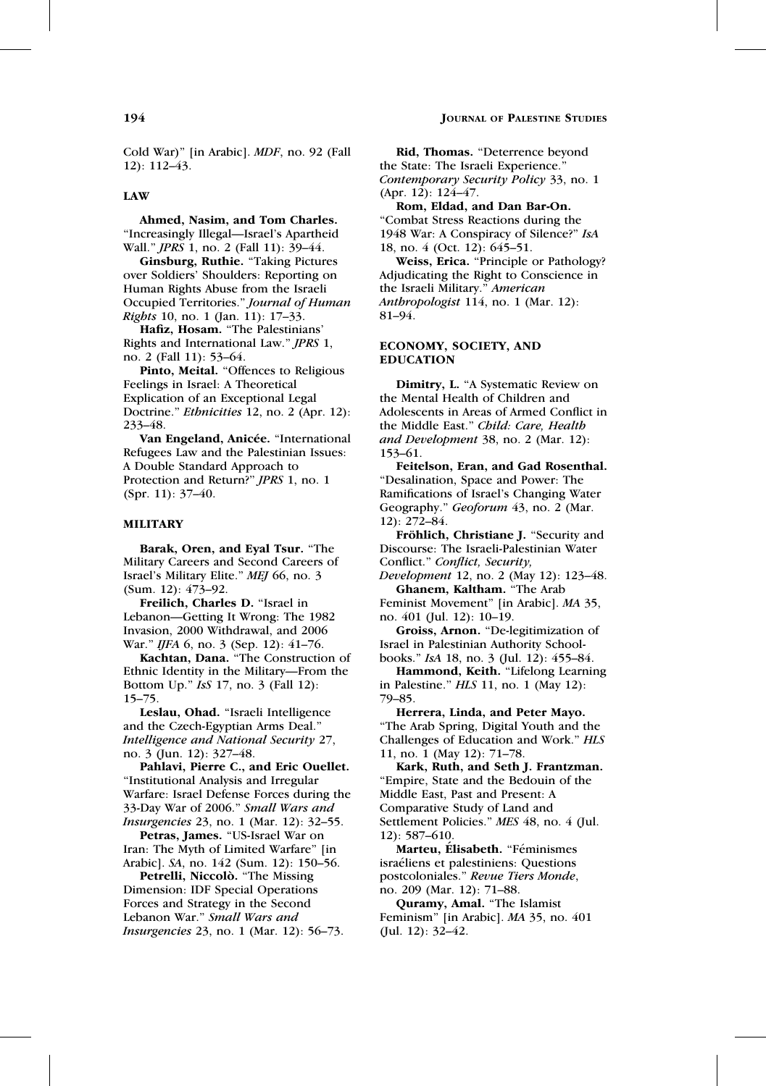# **194** JOURNAL OF PALESTINE STUDIES

Cold War)'' [in Arabic]. MDF, no. 92 (Fall 12): 112–43.

# LAW

Ahmed, Nasim, and Tom Charles. ''Increasingly Illegal—Israel's Apartheid Wall.'' JPRS 1, no. 2 (Fall 11): 39–44.

Ginsburg, Ruthie. "Taking Pictures over Soldiers' Shoulders: Reporting on Human Rights Abuse from the Israeli Occupied Territories.'' Journal of Human Rights 10, no. 1 (Jan. 11): 17–33.

Hafiz, Hosam. ''The Palestinians' Rights and International Law.'' JPRS 1, no. 2 (Fall 11): 53–64.

Pinto, Meital. "Offences to Religious Feelings in Israel: A Theoretical Explication of an Exceptional Legal Doctrine." *Ethnicities* 12, no. 2 (Apr. 12): 233–48.

Van Engeland, Anicée. "International Refugees Law and the Palestinian Issues: A Double Standard Approach to Protection and Return?'' JPRS 1, no. 1 (Spr. 11): 37–40.

# MILITARY

Barak, Oren, and Eyal Tsur. ''The Military Careers and Second Careers of Israel's Military Elite.'' MEJ 66, no. 3 (Sum. 12): 473–92.

Freilich, Charles D. ''Israel in Lebanon—Getting It Wrong: The 1982 Invasion, 2000 Withdrawal, and 2006 War." *IJFA* 6, no. 3 (Sep. 12): 41–76.

Kachtan, Dana. ''The Construction of Ethnic Identity in the Military—From the Bottom Up.'' IsS 17, no. 3 (Fall 12): 15–75.

Leslau, Ohad. ''Israeli Intelligence and the Czech-Egyptian Arms Deal.'' Intelligence and National Security 27, no. 3 (Jun. 12): 327–48.

Pahlavi, Pierre C., and Eric Ouellet. ''Institutional Analysis and Irregular Warfare: Israel Defense Forces during the 33-Day War of 2006.'' Small Wars and Insurgencies 23, no. 1 (Mar. 12): 32–55.

Petras, James. "US-Israel War on Iran: The Myth of Limited Warfare'' [in Arabic]. SA, no. 142 (Sum. 12): 150–56.

Petrelli, Niccolò. "The Missing Dimension: IDF Special Operations Forces and Strategy in the Second Lebanon War." Small Wars and Insurgencies 23, no. 1 (Mar. 12): 56–73.

Rid, Thomas. ''Deterrence beyond the State: The Israeli Experience.'' Contemporary Security Policy 33, no. 1 (Apr. 12): 124–47.

Rom, Eldad, and Dan Bar-On. ''Combat Stress Reactions during the 1948 War: A Conspiracy of Silence?'' IsA 18, no. 4 (Oct. 12): 645–51.

Weiss, Erica. "Principle or Pathology? Adjudicating the Right to Conscience in the Israeli Military.'' American Anthropologist 114, no. 1 (Mar. 12): 81–94.

#### ECONOMY, SOCIETY, AND EDUCATION

Dimitry, L. "A Systematic Review on the Mental Health of Children and Adolescents in Areas of Armed Conflict in the Middle East.'' Child: Care, Health and Development 38, no. 2 (Mar. 12): 153–61.

Feitelson, Eran, and Gad Rosenthal. ''Desalination, Space and Power: The Ramifications of Israel's Changing Water Geography." Geoforum 43, no. 2 (Mar. 12): 272–84.

Fröhlich, Christiane J. "Security and Discourse: The Israeli-Palestinian Water Conflict.'' Conflict, Security,

Development 12, no. 2 (May 12): 123–48. Ghanem, Kaltham. ''The Arab

Feminist Movement'' [in Arabic]. MA 35, no. 401 (Jul. 12): 10–19.

Groiss, Arnon. ''De-legitimization of Israel in Palestinian Authority Schoolbooks.'' IsA 18, no. 3 (Jul. 12): 455–84.

Hammond, Keith. "Lifelong Learning in Palestine.'' HLS 11, no. 1 (May 12): 79–85.

Herrera, Linda, and Peter Mayo. ''The Arab Spring, Digital Youth and the Challenges of Education and Work.'' HLS 11, no. 1 (May 12): 71–78.

Kark, Ruth, and Seth J. Frantzman. ''Empire, State and the Bedouin of the Middle East, Past and Present: A Comparative Study of Land and Settlement Policies." MES 48, no. 4 (Jul. 12): 587–610.

Marteu, Élisabeth. "Féminismes israéliens et palestiniens: Questions postcoloniales.'' Revue Tiers Monde, no. 209 (Mar. 12): 71–88.

Quramy, Amal. ''The Islamist Feminism'' [in Arabic]. MA 35, no. 401 (Jul. 12): 32–42.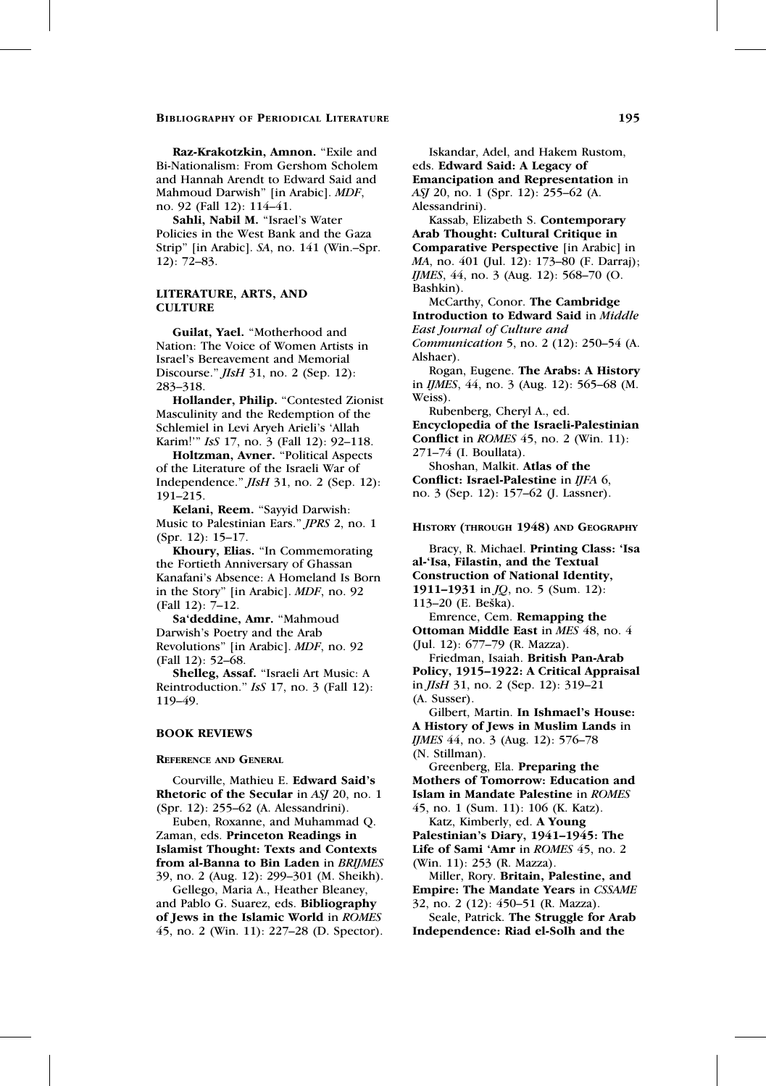Raz-Krakotzkin, Amnon. "Exile and Bi-Nationalism: From Gershom Scholem and Hannah Arendt to Edward Said and Mahmoud Darwish'' [in Arabic]. MDF, no. 92 (Fall 12): 114–41.

Sahli, Nabil M. ''Israel's Water Policies in the West Bank and the Gaza Strip'' [in Arabic]. SA, no. 141 (Win.–Spr. 12): 72–83.

# LITERATURE, ARTS, AND **CULTURE**

Guilat, Yael. ''Motherhood and Nation: The Voice of Women Artists in Israel's Bereavement and Memorial Discourse.'' JIsH 31, no. 2 (Sep. 12): 283–318.

Hollander, Philip. "Contested Zionist Masculinity and the Redemption of the Schlemiel in Levi Aryeh Arieli's 'Allah Karim!''' IsS 17, no. 3 (Fall 12): 92–118.

Holtzman, Avner. "Political Aspects of the Literature of the Israeli War of Independence.'' JIsH 31, no. 2 (Sep. 12): 191–215.

Kelani, Reem. "Sayyid Darwish: Music to Palestinian Ears.'' JPRS 2, no. 1 (Spr. 12): 15–17.

Khoury, Elias. ''In Commemorating the Fortieth Anniversary of Ghassan Kanafani's Absence: A Homeland Is Born in the Story'' [in Arabic]. MDF, no. 92 (Fall 12): 7–12.

Sa'deddine, Amr. ''Mahmoud Darwish's Poetry and the Arab Revolutions'' [in Arabic]. MDF, no. 92 (Fall 12): 52–68.

Shelleg, Assaf. ''Israeli Art Music: A Reintroduction." *IsS* 17, no. 3 (Fall 12): 119–49.

#### BOOK REVIEWS

REFERENCE AND GENERAL

Courville, Mathieu E. Edward Said's Rhetoric of the Secular in ASJ 20, no. 1 (Spr. 12): 255–62 (A. Alessandrini).

Euben, Roxanne, and Muhammad Q. Zaman, eds. Princeton Readings in Islamist Thought: Texts and Contexts from al-Banna to Bin Laden in BRIJMES 39, no. 2 (Aug. 12): 299–301 (M. Sheikh).

Gellego, Maria A., Heather Bleaney, and Pablo G. Suarez, eds. Bibliography of Jews in the Islamic World in ROMES 45, no. 2 (Win. 11): 227–28 (D. Spector).

Iskandar, Adel, and Hakem Rustom, eds. Edward Said: A Legacy of Emancipation and Representation in ASJ 20, no. 1 (Spr. 12): 255–62 (A. Alessandrini).

Kassab, Elizabeth S. Contemporary Arab Thought: Cultural Critique in Comparative Perspective [in Arabic] in MA, no. 401 (Jul. 12): 173–80 (F. Darraj); IJMES, 44, no. 3 (Aug. 12): 568–70 (O. Bashkin).

McCarthy, Conor. The Cambridge Introduction to Edward Said in Middle East Journal of Culture and Communication 5, no. 2 (12): 250–54 (A.

Alshaer).

Rogan, Eugene. The Arabs: A History in IJMES, 44, no. 3 (Aug. 12): 565–68 (M. Weiss).

Rubenberg, Cheryl A., ed.

Encyclopedia of the Israeli-Palestinian Conflict in ROMES 45, no. 2 (Win. 11): 271–74 (I. Boullata). Shoshan, Malkit. Atlas of the Conflict: Israel-Palestine in IJFA 6,

no. 3 (Sep. 12): 157–62 (J. Lassner).

HISTORY (THROUGH 1948) AND GEOGRAPHY

Bracy, R. Michael. Printing Class: 'Isa al-'Isa, Filastin, and the Textual Construction of National Identity, 1911–1931 in *JQ*, no. 5 (Sum. 12): 113–20 (E. Beška). Emrence, Cem. Remapping the Ottoman Middle East in MES 48, no. 4 (Jul. 12): 677–79 (R. Mazza).

Friedman, Isaiah. British Pan-Arab Policy, 1915–1922: A Critical Appraisal in JIsH 31, no. 2 (Sep. 12): 319–21 (A. Susser).

Gilbert, Martin. In Ishmael's House: A History of Jews in Muslim Lands in IJMES 44, no. 3 (Aug. 12): 576–78 (N. Stillman).

Greenberg, Ela. Preparing the Mothers of Tomorrow: Education and Islam in Mandate Palestine in ROMES 45, no. 1 (Sum. 11): 106 (K. Katz).

Katz, Kimberly, ed. A Young Palestinian's Diary, 1941–1945: The Life of Sami 'Amr in ROMES 45, no. 2 (Win. 11): 253 (R. Mazza).

Miller, Rory. Britain, Palestine, and Empire: The Mandate Years in CSSAME 32, no. 2 (12): 450–51 (R. Mazza).

Seale, Patrick. The Struggle for Arab Independence: Riad el-Solh and the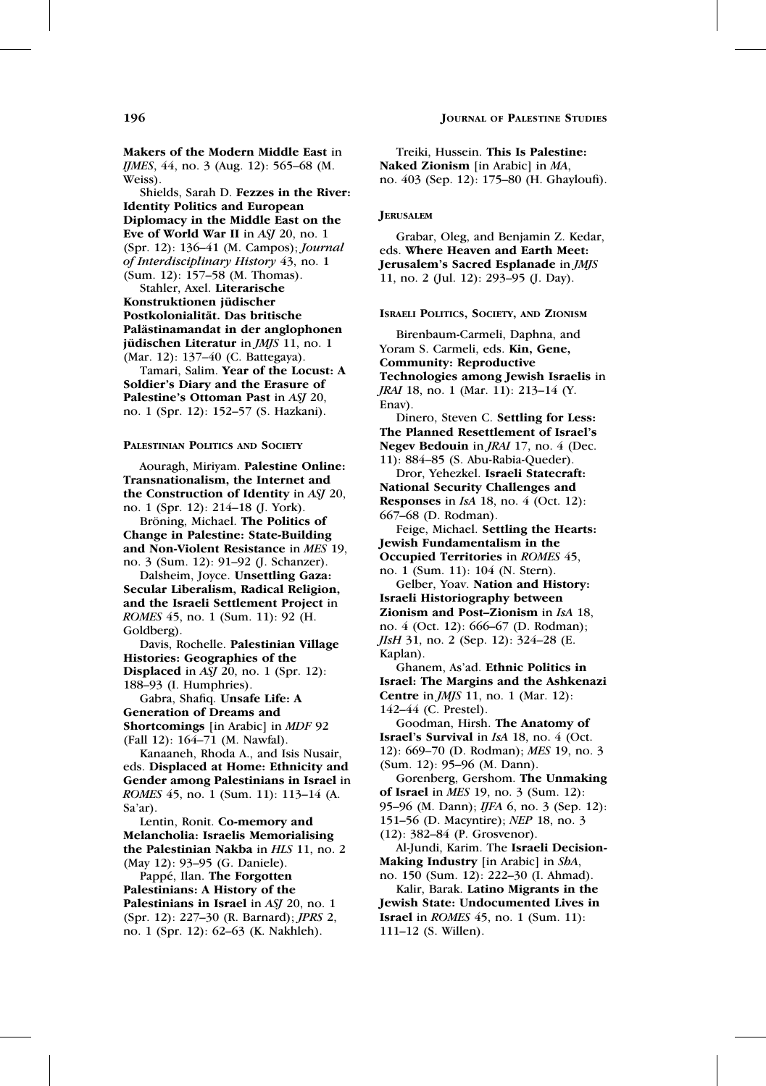# **196** JOURNAL OF PALESTINE STUDIES

Makers of the Modern Middle East in IJMES, 44, no. 3 (Aug. 12): 565–68 (M. Weiss).

Shields, Sarah D. Fezzes in the River: Identity Politics and European Diplomacy in the Middle East on the Eve of World War II in ASJ 20, no. 1 (Spr. 12): 136–41 (M. Campos); Journal of Interdisciplinary History 43, no. 1 (Sum. 12): 157–58 (M. Thomas).

Stahler, Axel. Literarische Konstruktionen jüdischer Postkolonialität. Das britische Palästinamandat in der anglophonen jüdischen Literatur in JMJS 11, no. 1 (Mar. 12): 137–40 (C. Battegaya).

Tamari, Salim. Year of the Locust: A Soldier's Diary and the Erasure of Palestine's Ottoman Past in ASJ 20, no. 1 (Spr. 12): 152–57 (S. Hazkani).

#### PALESTINIAN POLITICS AND SOCIETY

Aouragh, Miriyam. Palestine Online: Transnationalism, the Internet and the Construction of Identity in ASJ 20, no. 1 (Spr. 12): 214–18 (J. York).

Bröning, Michael. The Politics of Change in Palestine: State-Building and Non-Violent Resistance in MES 19, no. 3 (Sum. 12): 91–92 (J. Schanzer).

Dalsheim, Joyce. Unsettling Gaza: Secular Liberalism, Radical Religion, and the Israeli Settlement Project in ROMES 45, no. 1 (Sum. 11): 92 (H. Goldberg).

Davis, Rochelle. Palestinian Village Histories: Geographies of the **Displaced** in ASJ 20, no. 1 (Spr. 12): 188–93 (I. Humphries).

Gabra, Shafiq. Unsafe Life: A Generation of Dreams and Shortcomings [in Arabic] in *MDF* 92 (Fall 12): 164–71 (M. Nawfal).

Kanaaneh, Rhoda A., and Isis Nusair, eds. Displaced at Home: Ethnicity and Gender among Palestinians in Israel in ROMES 45, no. 1 (Sum. 11): 113–14 (A. Sa'ar).

Lentin, Ronit. Co-memory and Melancholia: Israelis Memorialising the Palestinian Nakba in HLS 11, no. 2 (May 12): 93–95 (G. Daniele).

Pappé, Ilan. The Forgotten Palestinians: A History of the Palestinians in Israel in ASJ 20, no. 1 (Spr. 12): 227–30 (R. Barnard); JPRS 2, no. 1 (Spr. 12): 62–63 (K. Nakhleh).

Treiki, Hussein. This Is Palestine: Naked Zionism [in Arabic] in MA, no. 403 (Sep. 12): 175–80 (H. Ghayloufi).

#### **JERUSALEM**

Grabar, Oleg, and Benjamin Z. Kedar, eds. Where Heaven and Earth Meet: Jerusalem's Sacred Esplanade in JMJS 11, no. 2 (Jul. 12): 293–95 (J. Day).

#### ISRAELI POLITICS, SOCIETY, AND ZIONISM

Birenbaum-Carmeli, Daphna, and Yoram S. Carmeli, eds. Kin, Gene, Community: Reproductive Technologies among Jewish Israelis in JRAI 18, no. 1 (Mar. 11): 213–14 (Y. Enav).

Dinero, Steven C. Settling for Less: The Planned Resettlement of Israel's Negev Bedouin in JRAI 17, no. 4 (Dec. 11): 884–85 (S. Abu-Rabia-Queder).

Dror, Yehezkel. Israeli Statecraft: National Security Challenges and Responses in  $IsA$  18, no. 4 (Oct. 12): 667–68 (D. Rodman).

Feige, Michael. Settling the Hearts: Jewish Fundamentalism in the Occupied Territories in ROMES 45, no. 1 (Sum. 11): 104 (N. Stern).

Gelber, Yoav. Nation and History: Israeli Historiography between Zionism and Post–Zionism in IsA 18, no. 4 (Oct. 12): 666–67 (D. Rodman); JIsH 31, no. 2 (Sep. 12): 324–28 (E. Kaplan).

Ghanem, As'ad. Ethnic Politics in Israel: The Margins and the Ashkenazi Centre in JMJS 11, no. 1 (Mar. 12): 142–44 (C. Prestel).

Goodman, Hirsh. The Anatomy of Israel's Survival in IsA 18, no. 4 (Oct. 12): 669–70 (D. Rodman); MES 19, no. 3 (Sum. 12): 95–96 (M. Dann).

Gorenberg, Gershom. The Unmaking of Israel in  $MES$  19, no. 3 (Sum. 12): 95–96 (M. Dann); IJFA 6, no. 3 (Sep. 12): 151–56 (D. Macyntire); NEP 18, no. 3

(12): 382–84 (P. Grosvenor).

Al-Jundi, Karim. The Israeli Decision-Making Industry [in Arabic] in ShA,

no. 150 (Sum. 12): 222–30 (I. Ahmad).

Kalir, Barak. Latino Migrants in the Jewish State: Undocumented Lives in Israel in ROMES 45, no. 1 (Sum. 11): 111–12 (S. Willen).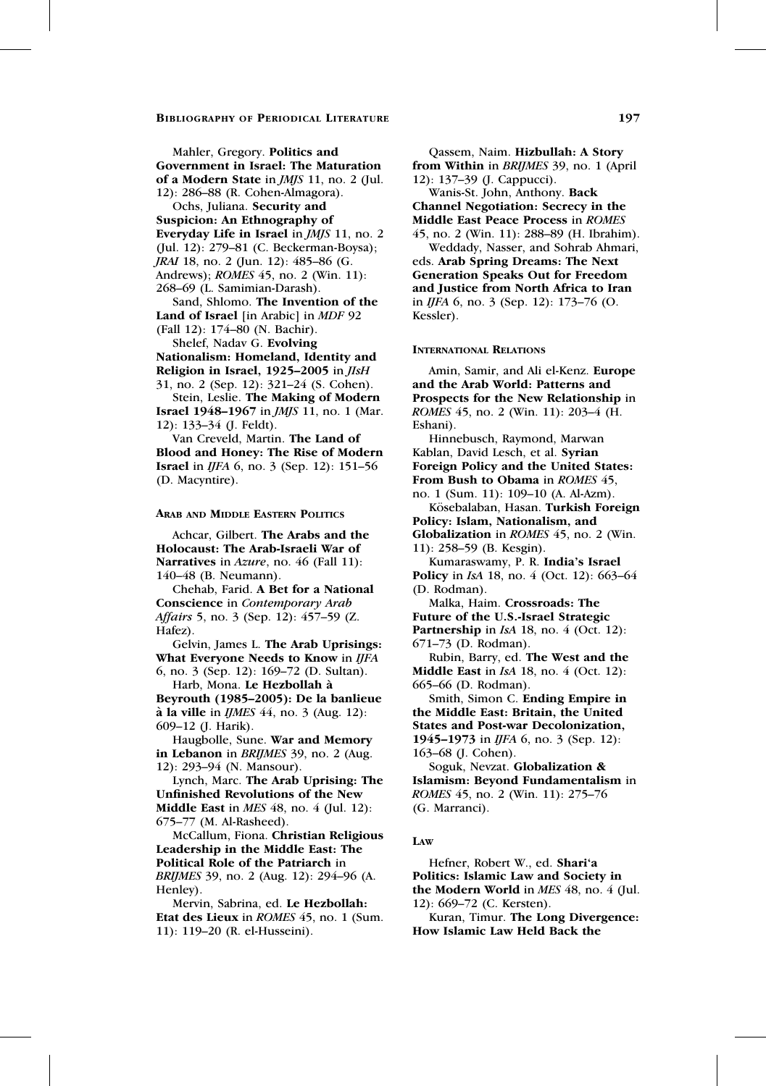Mahler, Gregory. Politics and Government in Israel: The Maturation of a Modern State in JMJS 11, no. 2 (Jul. 12): 286–88 (R. Cohen-Almagora).

Ochs, Juliana. Security and Suspicion: An Ethnography of Everyday Life in Israel in JMJS 11, no. 2 (Jul. 12): 279–81 (C. Beckerman-Boysa); JRAI 18, no. 2 (Jun. 12): 485–86 (G. Andrews); ROMES 45, no. 2 (Win. 11):

268–69 (L. Samimian-Darash). Sand, Shlomo. The Invention of the

Land of Israel [in Arabic] in MDF 92 (Fall 12): 174–80 (N. Bachir).

Shelef, Nadav G. Evolving Nationalism: Homeland, Identity and Religion in Israel, 1925–2005 in JIsH 31, no. 2 (Sep. 12): 321–24 (S. Cohen).

Stein, Leslie. The Making of Modern Israel 1948–1967 in JMJS 11, no. 1 (Mar. 12): 133–34 (J. Feldt).

Van Creveld, Martin. The Land of Blood and Honey: The Rise of Modern Israel in IJFA 6, no. 3 (Sep. 12): 151–56 (D. Macyntire).

#### ARAB AND MIDDLE EASTERN POLITICS

Achcar, Gilbert. The Arabs and the Holocaust: The Arab-Israeli War of Narratives in Azure, no. 46 (Fall 11): 140–48 (B. Neumann).

Chehab, Farid. A Bet for a National Conscience in Contemporary Arab Affairs 5, no. 3 (Sep. 12): 457–59 (Z. Hafez).

Gelvin, James L. The Arab Uprisings: What Everyone Needs to Know in IJFA 6, no. 3 (Sep. 12): 169–72 (D. Sultan).

Harb, Mona. Le Hezbollah à Beyrouth (1985–2005): De la banlieue  $\hat{a}$  la ville in *IJMES* 44, no. 3 (Aug. 12): 609–12 (J. Harik).

Haugbolle, Sune. War and Memory in Lebanon in BRIJMES 39, no. 2 (Aug. 12): 293–94 (N. Mansour).

Lynch, Marc. The Arab Uprising: The Unfinished Revolutions of the New Middle East in *MES* 48, no. 4 (Jul. 12): 675–77 (M. Al-Rasheed).

McCallum, Fiona. Christian Religious Leadership in the Middle East: The Political Role of the Patriarch in BRIJMES 39, no. 2 (Aug. 12): 294–96 (A. Henley).

Mervin, Sabrina, ed. Le Hezbollah: Etat des Lieux in ROMES 45, no. 1 (Sum. 11): 119–20 (R. el-Husseini).

Qassem, Naim. Hizbullah: A Story from Within in BRIJMES 39, no. 1 (April 12): 137–39 (J. Cappucci).

Wanis-St. John, Anthony. Back Channel Negotiation: Secrecy in the Middle East Peace Process in ROMES 45, no. 2 (Win. 11): 288–89 (H. Ibrahim).

Weddady, Nasser, and Sohrab Ahmari, eds. Arab Spring Dreams: The Next Generation Speaks Out for Freedom and Justice from North Africa to Iran in IJFA 6, no. 3 (Sep. 12): 173–76 (O. Kessler).

#### INTERNATIONAL RELATIONS

Amin, Samir, and Ali el-Kenz. Europe and the Arab World: Patterns and Prospects for the New Relationship in ROMES 45, no. 2 (Win. 11): 203–4 (H. Eshani).

Hinnebusch, Raymond, Marwan Kablan, David Lesch, et al. Syrian Foreign Policy and the United States: From Bush to Obama in ROMES 45, no. 1 (Sum. 11): 109–10 (A. Al-Azm).

Kösebalaban, Hasan. Turkish Foreign Policy: Islam, Nationalism, and Globalization in ROMES 45, no. 2 (Win. 11): 258–59 (B. Kesgin).

Kumaraswamy, P. R. India's Israel Policy in *IsA* 18, no. 4 (Oct. 12): 663-64 (D. Rodman).

Malka, Haim. Crossroads: The Future of the U.S.-Israel Strategic Partnership in IsA 18, no. 4 (Oct. 12): 671–73 (D. Rodman).

Rubin, Barry, ed. The West and the **Middle East** in  $IsA$  18, no. 4 (Oct. 12): 665–66 (D. Rodman).

Smith, Simon C. Ending Empire in the Middle East: Britain, the United States and Post-war Decolonization, 1945–1973 in IJFA 6, no. 3 (Sep. 12): 163–68 (J. Cohen).

Soguk, Nevzat. Globalization & Islamism: Beyond Fundamentalism in ROMES 45, no. 2 (Win. 11): 275–76 (G. Marranci).

#### LAW

Hefner, Robert W., ed. Shari'a Politics: Islamic Law and Society in the Modern World in MES 48, no. 4 (Jul. 12): 669–72 (C. Kersten).

Kuran, Timur. The Long Divergence: How Islamic Law Held Back the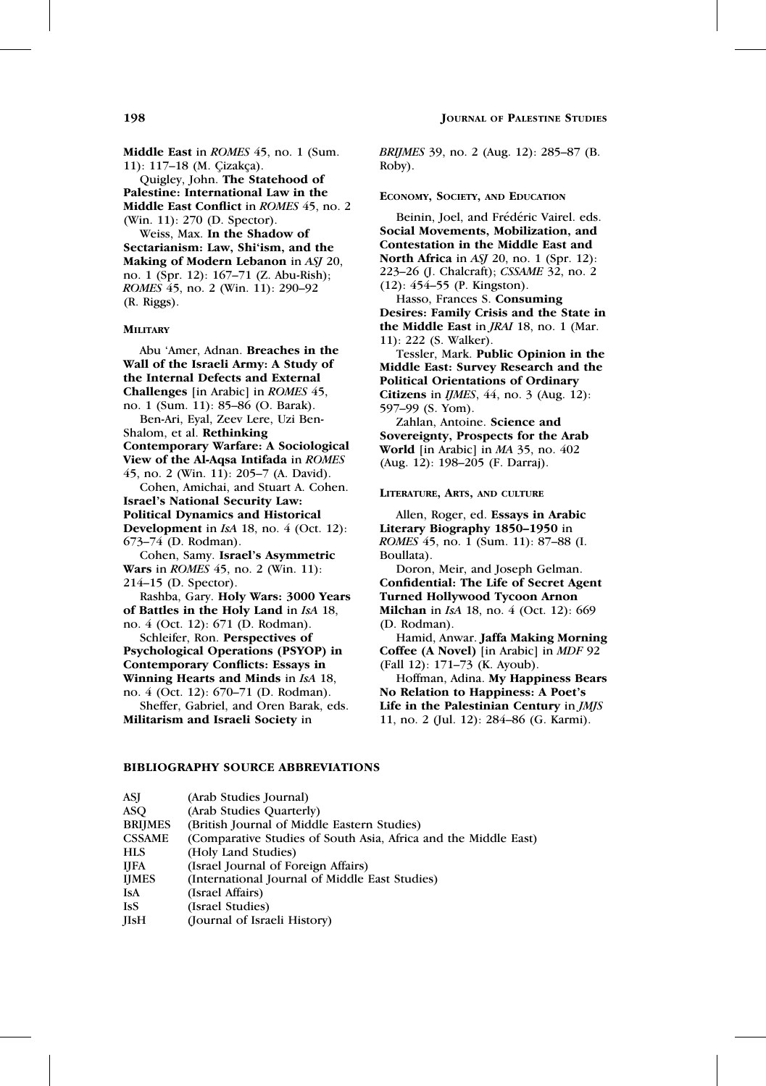Middle East in ROMES 45, no. 1 (Sum. 11): 117-18 (M. Çizakça).

Quigley, John. The Statehood of Palestine: International Law in the Middle East Conflict in ROMES 45, no. 2 (Win. 11): 270 (D. Spector).

Weiss, Max. In the Shadow of Sectarianism: Law, Shi'ism, and the Making of Modern Lebanon in ASJ 20, no. 1 (Spr. 12): 167–71 (Z. Abu-Rish); ROMES 45, no. 2 (Win. 11): 290–92 (R. Riggs).

#### **MILITARY**

Abu 'Amer, Adnan. Breaches in the Wall of the Israeli Army: A Study of the Internal Defects and External Challenges [in Arabic] in ROMES 45, no. 1 (Sum. 11): 85–86 (O. Barak). Ben-Ari, Eyal, Zeev Lere, Uzi Ben-Shalom, et al. Rethinking Contemporary Warfare: A Sociological View of the Al-Aqsa Intifada in ROMES 45, no. 2 (Win. 11): 205–7 (A. David). Cohen, Amichai, and Stuart A. Cohen. Israel's National Security Law: Political Dynamics and Historical Development in IsA 18, no. 4 (Oct. 12): 673–74 (D. Rodman). Cohen, Samy. Israel's Asymmetric Wars in *ROMES* 45, no. 2 (Win. 11): 214–15 (D. Spector). Rashba, Gary. Holy Wars: 3000 Years of Battles in the Holy Land in IsA 18, no. 4 (Oct. 12): 671 (D. Rodman). Schleifer, Ron. Perspectives of

Psychological Operations (PSYOP) in Contemporary Conflicts: Essays in Winning Hearts and Minds in IsA 18, no. 4 (Oct. 12): 670–71 (D. Rodman).

Sheffer, Gabriel, and Oren Barak, eds. Militarism and Israeli Society in

BRIJMES 39, no. 2 (Aug. 12): 285–87 (B. Roby).

#### ECONOMY, SOCIETY, AND EDUCATION

Beinin, Joel, and Frédéric Vairel. eds. Social Movements, Mobilization, and Contestation in the Middle East and North Africa in ASJ 20, no. 1 (Spr. 12): 223–26 (J. Chalcraft); CSSAME 32, no. 2 (12): 454–55 (P. Kingston).

Hasso, Frances S. Consuming Desires: Family Crisis and the State in the Middle East in JRAI 18, no. 1 (Mar. 11): 222 (S. Walker).

Tessler, Mark. Public Opinion in the Middle East: Survey Research and the Political Orientations of Ordinary Citizens in  $IIMES$ , 44, no. 3 (Aug. 12): 597–99 (S. Yom).

Zahlan, Antoine. Science and Sovereignty, Prospects for the Arab World [in Arabic] in MA 35, no. 402 (Aug. 12): 198–205 (F. Darraj).

#### LITERATURE, ARTS, AND CULTURE

Allen, Roger, ed. Essays in Arabic Literary Biography 1850–1950 in ROMES 45, no. 1 (Sum. 11): 87–88 (I. Boullata).

Doron, Meir, and Joseph Gelman. Confidential: The Life of Secret Agent Turned Hollywood Tycoon Arnon **Milchan** in *IsA* 18, no. 4 (Oct. 12): 669 (D. Rodman).

Hamid, Anwar. Jaffa Making Morning Coffee (A Novel) [in Arabic] in MDF 92 (Fall 12): 171–73 (K. Ayoub).

Hoffman, Adina. My Happiness Bears No Relation to Happiness: A Poet's Life in the Palestinian Century in JMJS 11, no. 2 (Jul. 12): 284–86 (G. Karmi).

### BIBLIOGRAPHY SOURCE ABBREVIATIONS

| ASJ            | (Arab Studies Journal)                                          |
|----------------|-----------------------------------------------------------------|
| <b>ASO</b>     | (Arab Studies Quarterly)                                        |
| <b>BRIJMES</b> | (British Journal of Middle Eastern Studies)                     |
| <b>CSSAME</b>  | (Comparative Studies of South Asia, Africa and the Middle East) |
| <b>HLS</b>     | (Holy Land Studies)                                             |
| <b>IJFA</b>    | (Israel Journal of Foreign Affairs)                             |
| <b>IJMES</b>   | (International Journal of Middle East Studies)                  |
| <b>IsA</b>     | (Israel Affairs)                                                |
| <b>IsS</b>     | (Israel Studies)                                                |
| <b>IIsH</b>    | (Journal of Israeli History)                                    |
|                |                                                                 |